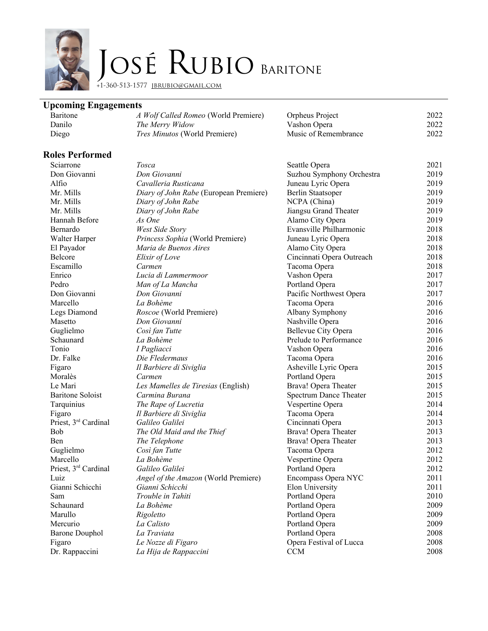

OSÉ RUBIO BARITONE

+1-360-513-1577 jbrubio@gmail.com

## **Upcoming Engagements**

| Baritone | <i>A Wolf Called Romeo</i> (World Premiere) | Orpheus Project      | 2022 |
|----------|---------------------------------------------|----------------------|------|
| Danilo   | The Merry Widow                             | Vashon Opera         | 2022 |
| Diego    | <i>Tres Minutos</i> (World Premiere)        | Music of Remembrance | 2022 |
|          |                                             |                      |      |

## **Roles Performed**

| oies i ei ioi illeu              |                                        |                            |      |
|----------------------------------|----------------------------------------|----------------------------|------|
| Sciarrone                        | Tosca                                  | Seattle Opera              | 2021 |
| Don Giovanni                     | Don Giovanni                           | Suzhou Symphony Orchestra  | 2019 |
| Alfio                            | Cavalleria Rusticana                   | Juneau Lyric Opera         | 2019 |
| Mr. Mills                        | Diary of John Rabe (European Premiere) | <b>Berlin Staatsoper</b>   | 2019 |
| Mr. Mills                        | Diary of John Rabe                     | NCPA (China)               | 2019 |
| Mr. Mills                        | Diary of John Rabe                     | Jiangsu Grand Theater      | 2019 |
| Hannah Before                    | As One                                 | Alamo City Opera           | 2019 |
| Bernardo                         | West Side Story                        | Evansville Philharmonic    | 2018 |
| Walter Harper                    | Princess Sophia (World Premiere)       | Juneau Lyric Opera         | 2018 |
| El Payador                       | Maria de Buenos Aires                  | Alamo City Opera           | 2018 |
| Belcore                          | Elixir of Love                         | Cincinnati Opera Outreach  | 2018 |
| Escamillo                        | Carmen                                 | Tacoma Opera               | 2018 |
| Enrico                           | Lucia di Lammermoor                    | Vashon Opera               | 2017 |
| Pedro                            | Man of La Mancha                       | Portland Opera             | 2017 |
| Don Giovanni                     | Don Giovanni                           | Pacific Northwest Opera    | 2017 |
| Marcello                         | La Bohème                              | Tacoma Opera               | 2016 |
| Legs Diamond                     | Roscoe (World Premiere)                | Albany Symphony            | 2016 |
| Masetto                          | Don Giovanni                           | Nashville Opera            | 2016 |
| Guglielmo                        | Così fan Tutte                         | <b>Bellevue City Opera</b> | 2016 |
| Schaunard                        | La Bohème                              | Prelude to Performance     | 2016 |
| Tonio                            | I Pagliacci                            | Vashon Opera               | 2016 |
| Dr. Falke                        | Die Fledermaus                         | Tacoma Opera               | 2016 |
| Figaro                           | Il Barbiere di Siviglia                | Asheville Lyric Opera      | 2015 |
| Moralès                          | Carmen                                 | Portland Opera             | 2015 |
| Le Mari                          | Les Mamelles de Tiresias (English)     | Brava! Opera Theater       | 2015 |
| <b>Baritone Soloist</b>          | Carmina Burana                         | Spectrum Dance Theater     | 2015 |
| Tarquinius                       | The Rape of Lucretia                   | Vespertine Opera           | 2014 |
| Figaro                           | Il Barbiere di Siviglia                | Tacoma Opera               | 2014 |
| Priest, 3 <sup>rd</sup> Cardinal | Galileo Galilei                        | Cincinnati Opera           | 2013 |
| <b>Bob</b>                       | The Old Maid and the Thief             | Brava! Opera Theater       | 2013 |
| Ben                              | The Telephone                          | Brava! Opera Theater       | 2013 |
| Guglielmo                        | Così fan Tutte                         | Tacoma Opera               | 2012 |
| Marcello                         | La Bohème                              | Vespertine Opera           | 2012 |
| Priest, 3 <sup>rd</sup> Cardinal | Galileo Galilei                        | Portland Opera             | 2012 |
| Luiz                             | Angel of the Amazon (World Premiere)   | Encompass Opera NYC        | 2011 |
| Gianni Schicchi                  | Gianni Schicchi                        | Elon University            | 2011 |
| Sam                              | Trouble in Tahiti                      | Portland Opera             | 2010 |
| Schaunard                        | La Bohème                              | Portland Opera             | 2009 |
| Marullo                          | Rigoletto                              | Portland Opera             | 2009 |
| Mercurio                         | La Calisto                             | Portland Opera             | 2009 |
| <b>Barone Douphol</b>            | La Traviata                            | Portland Opera             | 2008 |
| Figaro                           | Le Nozze di Figaro                     | Opera Festival of Lucca    | 2008 |
| Dr. Rappaccini                   | La Hija de Rappaccini                  | <b>CCM</b>                 | 2008 |
|                                  |                                        |                            |      |